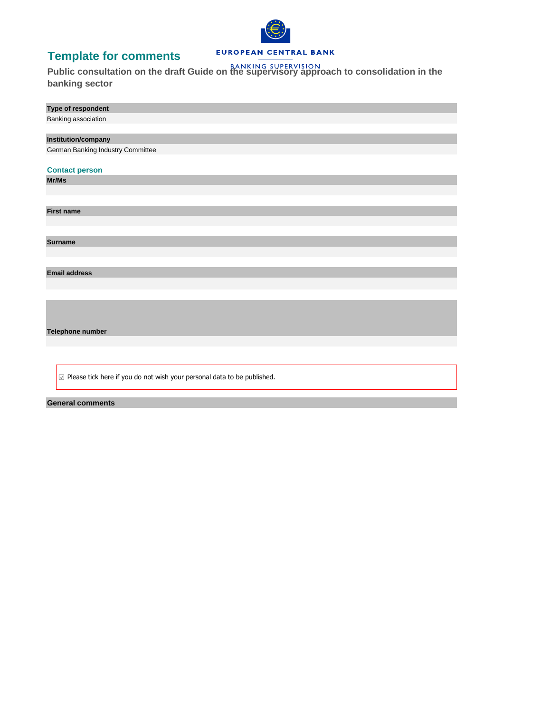# **Template for comments**



### EUROPEAN CENTRAL BANK

**Public consultation on the draft Guide on the supervisory approach to consolidation in the banking sector**

| Type of respondent                |
|-----------------------------------|
| Banking association               |
|                                   |
| <b>Institution/company</b>        |
| German Banking Industry Committee |
|                                   |
| <b>Contact person</b>             |
| Mr/Ms                             |
|                                   |
|                                   |
| <b>First name</b>                 |
|                                   |
|                                   |
| <b>Surname</b>                    |
|                                   |
|                                   |
| <b>Email address</b>              |
|                                   |
|                                   |
|                                   |
|                                   |
|                                   |
| Telephone number                  |
|                                   |

 $\boxed{\Box}$  Please tick here if you do not wish your personal data to be published.

**General comments**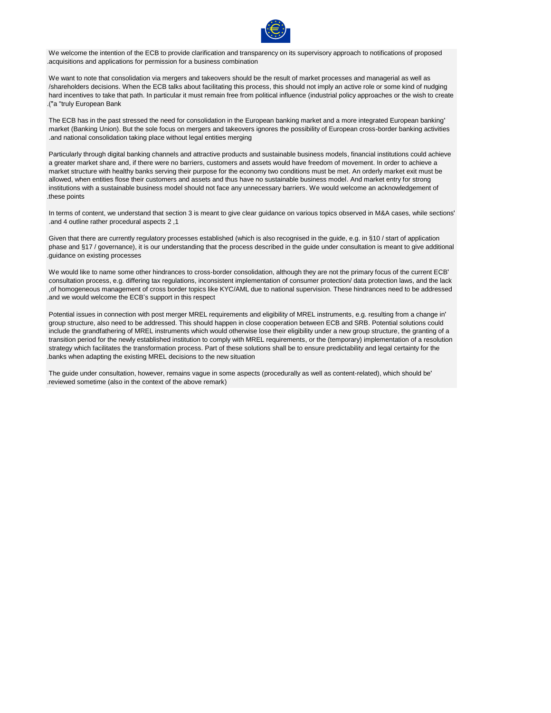

We welcome the intention of the ECB to provide clarification and transparency on its supervisory approach to notifications of proposed .acquisitions and applications for permission for a business combination

We want to note that consolidation via mergers and takeovers should be the result of market processes and managerial as well as /shareholders decisions. When the ECB talks about facilitating this process, this should not imply an active role or some kind of nudging hard incentives to take that path. In particular it must remain free from political influence (industrial policy approaches or the wish to create .)"a "truly European Bank

The ECB has in the past stressed the need for consolidation in the European banking market and a more integrated European banking' market (Banking Union). But the sole focus on mergers and takeovers ignores the possibility of European cross-border banking activities .and national consolidation taking place without legal entities merging

Particularly through digital banking channels and attractive products and sustainable business models, financial institutions could achieve a greater market share and, if there were no barriers, customers and assets would have freedom of movement. In order to achieve a market structure with healthy banks serving their purpose for the economy two conditions must be met. An orderly market exit must be allowed, when entities flose their customers and assets and thus have no sustainable business model. And market entry for strong institutions with a sustainable business model should not face any unnecessary barriers. We would welcome an acknowledgement of .these points

In terms of content, we understand that section 3 is meant to give clear guidance on various topics observed in M&A cases, while sections' .and 4 outline rather procedural aspects 2 ,1

Given that there are currently regulatory processes established (which is also recognised in the guide, e.g. in §10 / start of application phase and §17 / governance), it is our understanding that the process described in the guide under consultation is meant to give additional .guidance on existing processes

We would like to name some other hindrances to cross-border consolidation, although they are not the primary focus of the current ECB' consultation process, e.g. differing tax regulations, inconsistent implementation of consumer protection/ data protection laws, and the lack ,of homogeneous management of cross border topics like KYC/AML due to national supervision. These hindrances need to be addressed .and we would welcome the ECB's support in this respect

Potential issues in connection with post merger MREL requirements and eligibility of MREL instruments, e.g. resulting from a change in' group structure, also need to be addressed. This should happen in close cooperation between ECB and SRB. Potential solutions could include the grandfathering of MREL instruments which would otherwise lose their eligibility under a new group structure, the granting of a transition period for the newly established institution to comply with MREL requirements, or the (temporary) implementation of a resolution strategy which facilitates the transformation process. Part of these solutions shall be to ensure predictability and legal certainty for the .banks when adapting the existing MREL decisions to the new situation

The guide under consultation, however, remains vague in some aspects (procedurally as well as content-related), which should be' .reviewed sometime (also in the context of the above remark)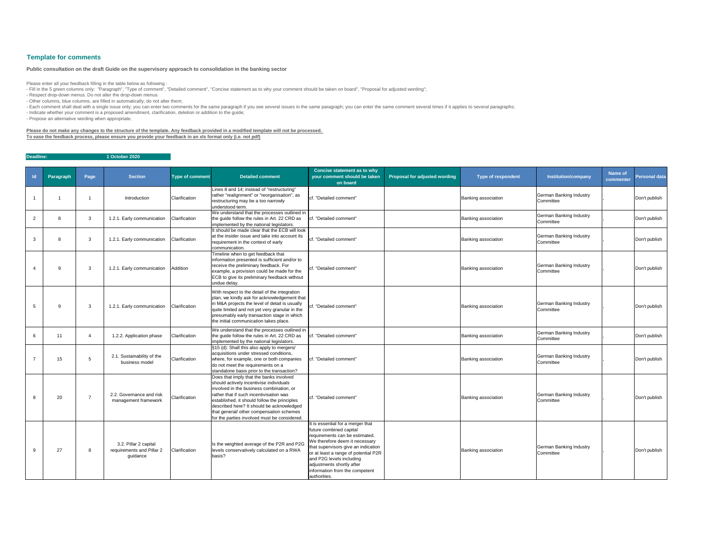| $\mathsf{Id}$ | Paragraph | Page           | <b>Section</b>                                                 | <b>Type of comment</b> | <b>Detailed comment</b>                                                                                                                                                                                                                                                                                                                                            | <b>Concise statement as to why</b><br>your comment should be taken<br>on board                                                                                                                                                                                                                                             | <b>Proposal for adjusted wording</b> | <b>Type of respondent</b> | <b>Institution/company</b>                  | <b>Name of</b><br>commenter | <b>Personal data</b> |
|---------------|-----------|----------------|----------------------------------------------------------------|------------------------|--------------------------------------------------------------------------------------------------------------------------------------------------------------------------------------------------------------------------------------------------------------------------------------------------------------------------------------------------------------------|----------------------------------------------------------------------------------------------------------------------------------------------------------------------------------------------------------------------------------------------------------------------------------------------------------------------------|--------------------------------------|---------------------------|---------------------------------------------|-----------------------------|----------------------|
|               |           |                | Introduction                                                   | Clarification          | Lines 8 and 14; instead of "restructuring"<br>rather "realignment" or "reorganisation", as<br>restructuring may be a too narrowly<br>understood term.                                                                                                                                                                                                              | cf. "Detailed comment"                                                                                                                                                                                                                                                                                                     |                                      | Banking association       | <b>German Banking Industry</b><br>Committee |                             | Don't publish        |
| 2             |           | 3              | 1.2.1. Early communication                                     | Clarification          | We understand that the processes outlined in<br>the guide follow the rules in Art. 22 CRD as<br>implemented by the national legislators.                                                                                                                                                                                                                           | cf. "Detailed comment"                                                                                                                                                                                                                                                                                                     |                                      | Banking association       | <b>German Banking Industry</b><br>Committee |                             | Don't publish        |
|               |           | 3              | 1.2.1. Early communication                                     | Clarification          | It should be made clear that the ECB will look<br>at the insider issue and take into account its<br>requirement in the context of early<br>communication.                                                                                                                                                                                                          | cf. "Detailed comment"                                                                                                                                                                                                                                                                                                     |                                      | Banking association       | <b>German Banking Industry</b><br>Committee |                             | Don't publish        |
|               | g         | 3              | 1.2.1. Early communication                                     | Addition               | Timeline when to get feedback that<br>information presented is sufficient and/or to<br>receive the preliminary feedback. For<br>example, a provision could be made for the<br>ECB to give its preliminary feedback without<br>undue delay.                                                                                                                         | cf. "Detailed comment"                                                                                                                                                                                                                                                                                                     |                                      | Banking association       | <b>German Banking Industry</b><br>Committee |                             | Don't publish        |
|               | 9         | 3              | 1.2.1. Early communication                                     | Clarification          | With respect to the detail of the integration<br>plan, we kindly ask for acknowledgement that<br>in M&A projects the level of detail is usually<br>quite limited and not yet very granular in the<br>presumably early transaction stage in which<br>the initial communication takes place.                                                                         | cf. "Detailed comment"                                                                                                                                                                                                                                                                                                     |                                      | Banking association       | <b>German Banking Industry</b><br>Committee |                             | Don't publish        |
|               | 11        |                | 1.2.2. Application phase                                       | Clarification          | We understand that the processes outlined in<br>the guide follow the rules in Art. 22 CRD as<br>implemented by the national legislators.                                                                                                                                                                                                                           | cf. "Detailed comment"                                                                                                                                                                                                                                                                                                     |                                      | Banking association       | <b>German Banking Industry</b><br>Committee |                             | Don't publish        |
|               | 15        | 5              | 2.1. Sustainability of the<br>business model                   | Clarification          | §15 (d): Shall this also apply to mergers/<br>acquisitions under stressed conditions,<br>where, for example, one or both companies<br>do not meet the requirements on a<br>standalone basis prior to the transaction?                                                                                                                                              | cf. "Detailed comment"                                                                                                                                                                                                                                                                                                     |                                      | Banking association       | <b>German Banking Industry</b><br>Committee |                             | Don't publish        |
|               | 20        | $\overline{7}$ | 2.2. Governance and risk<br>management framework               | Clarification          | Does that imply that the banks involved<br>should actively incentivise individuals<br>involved in the business combination, or<br>rather that if such incentivisation was<br>established, it should follow the principles<br>described here? It should be acknowledged<br>that general/ other compensation schemes<br>for the parties involved must be considered. | cf. "Detailed comment"                                                                                                                                                                                                                                                                                                     |                                      | Banking association       | German Banking Industry<br>Committee        |                             | Don't publish        |
|               | 27        | 8              | 3.2. Pillar 2 capital<br>requirements and Pillar 2<br>guidance | Clarification          | Is the weighted average of the P2R and P2G<br>levels conservatively calculated on a RWA<br>basis?                                                                                                                                                                                                                                                                  | It is essential for a merger that<br>future combined capital<br>requirements can be estimated.<br>We therefore deem it necessary<br>that supervisors give an indication<br>or at least a range of potential P2R<br>and P2G levels including<br>adjustments shortly after<br>information from the competent<br>authorities. |                                      | Banking association       | German Banking Industry<br>Committee        |                             | Don't publish        |

- Fill in the 5 green columns only: "Paragraph", "Type of comment", "Detailed comment", "Concise statement as to why your comment should be taken on board", "Proposal for adjusted wording"; - Respect drop-down menus. Do not alter the drop-down menus.

**Deadline: 1 October 2020**

## **Template for comments**

Please enter all your feedback filling in the table below as following :

- Other columns, blue columns, are filled in automatically; do not alter them;

- Each comment shall deal with a single issue only; you can enter two comments for the same paragraph if you see several issues in the same paragraph; you can enter the same comment several times if it applies to several p

- Indicate whether your comment is a proposed amendment, clarification, deletion or addition to the guide;

- Propose an alternative wording when appropriate.

### **Please do not make any changes to the structure of the template. Any feedback provided in a modified template will not be processed. To ease the feedback process, please ensure you provide your feedback in an xls format only (i.e. not pdf)**

### **Public consultation on the draft Guide on the supervisory approach to consolidation in the banking sector**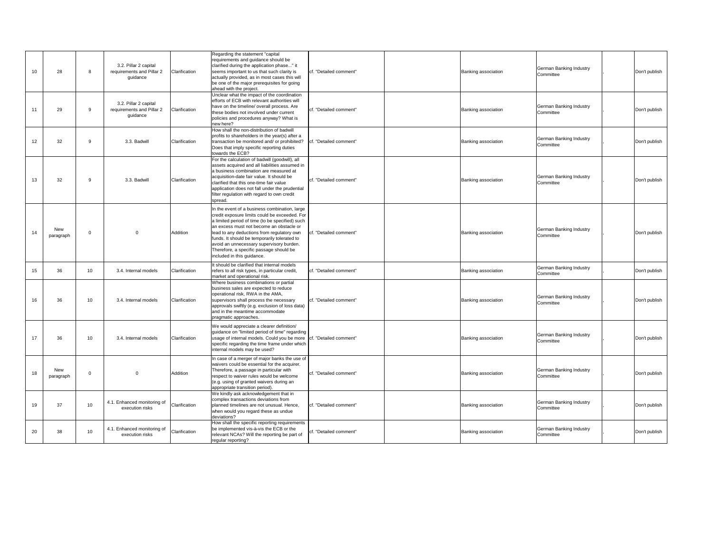| 10              | 28               | 8        | 3.2. Pillar 2 capital<br>requirements and Pillar 2<br>guidance | Clarification | Regarding the statement "capital<br>requirements and guidance should be<br>clarified during the application phase" it<br>seems important to us that such clarity is<br>actually provided, as in most cases this will<br>be one of the major prerequisites for going<br>ahead with the project.                                                                                                                   | cf. "Detailed comment"  | <b>Banking association</b> | <b>German Banking Industry</b><br>Committee | Don't publish |
|-----------------|------------------|----------|----------------------------------------------------------------|---------------|------------------------------------------------------------------------------------------------------------------------------------------------------------------------------------------------------------------------------------------------------------------------------------------------------------------------------------------------------------------------------------------------------------------|-------------------------|----------------------------|---------------------------------------------|---------------|
| 11              | 29               | 9        | 3.2. Pillar 2 capital<br>requirements and Pillar 2<br>guidance | Clarification | Unclear what the impact of the coordination<br>efforts of ECB with relevant authorities will<br>have on the timeline/ overall process. Are<br>these bodies not involved under current<br>policies and procedures anyway? What is<br>new here?                                                                                                                                                                    | lcf. "Detailed comment" | <b>Banking association</b> | <b>German Banking Industry</b><br>Committee | Don't publish |
| 12 <sup>2</sup> | 32               | 9        | 3.3. Badwill                                                   | Clarification | How shall the non-distribution of badwill<br>profits to shareholders in the year(s) after a<br>transaction be monitored and/ or prohibited?<br>Does that imply specific reporting duties<br>towards the ECB?                                                                                                                                                                                                     | cf. "Detailed comment"  | <b>Banking association</b> | <b>German Banking Industry</b><br>Committee | Don't publish |
| 13              | 32               | 9        | 3.3. Badwill                                                   | Clarification | For the calculation of badwill (goodwill), all<br>assets acquired and all liabilities assumed in<br>a business combination are measured at<br>acquisition-date fair value. It should be<br>clarified that this one-time fair value<br>application does not fall under the prudential<br>filter regulation with regard to own credit<br>spread.                                                                   | cf. "Detailed comment"  | <b>Banking association</b> | <b>German Banking Industry</b><br>Committee | Don't publish |
| 14              | New<br>paragraph | $\Omega$ | $\Omega$                                                       | Addition      | In the event of a business combination, large<br>credit exposure limits could be exceeded. For<br>a limited period of time (to be specified) such<br>an excess must not become an obstacle or<br>lead to any deductions from regulatory own<br>funds. It should be temporarily tolerated to<br>avoid an unnecessary supervisory burden.<br>Therefore, a specific passage should be<br>included in this guidance. | cf. "Detailed comment"  | <b>Banking association</b> | <b>German Banking Industry</b><br>Committee | Don't publish |
| 15              | 36               | 10       | 3.4. Internal models                                           | Clarification | It should be clarified that internal models<br>refers to all risk types, in particular credit,<br>market and operational risk.                                                                                                                                                                                                                                                                                   | cf. "Detailed comment"  | Banking association        | <b>German Banking Industry</b><br>Committee | Don't publish |
| 16              | 36               | 10       | 3.4. Internal models                                           | Clarification | Where business combinations or partial<br>business sales are expected to reduce<br>operational risk, RWA in the AMA,<br>supervisors shall process the necessary<br>approvals swiftly (e.g. exclusion of loss data)<br>and in the meantime accommodate<br>pragmatic approaches.                                                                                                                                   | cf. "Detailed comment"  | <b>Banking association</b> | <b>German Banking Industry</b><br>Committee | Don't publish |
| 17              | 36               | 10       | 3.4. Internal models                                           | Clarification | We would appreciate a clearer definition/<br>guidance on "limited period of time" regarding<br>usage of internal models. Could you be more<br>specific regarding the time frame under which<br>internal models may be used?                                                                                                                                                                                      | cf. "Detailed comment"  | <b>Banking association</b> | German Banking Industry<br>Committee        | Don't publish |
| 18              | New<br>paragraph | $\Omega$ | $\Omega$                                                       | Addition      | In case of a merger of major banks the use of<br>waivers could be essential for the acquirer.<br>Therefore, a passage in particular with<br>respect to waiver rules would be welcome<br>(e.g. using of granted waivers during an<br>appropriate transition period).                                                                                                                                              | cf. "Detailed comment"  | <b>Banking association</b> | <b>German Banking Industry</b><br>Committee | Don't publish |
| 19              | 37               | 10       | 4.1. Enhanced monitoring of<br>execution risks                 | Clarification | We kindly ask acknowledgement that in<br>complex transactions deviations from<br>planned timelines are not unusual. Hence,<br>when would you regard these as undue<br>deviations?                                                                                                                                                                                                                                | cf. "Detailed comment"  | <b>Banking association</b> | German Banking Industry<br>Committee        | Don't publish |
| 20              | 38               | 10       | 4.1. Enhanced monitoring of<br>execution risks                 | Clarification | How shall the specific reporting requirements<br>be implemented vis-à-vis the ECB or the<br>relevant NCAs? Will the reporting be part of<br>regular reporting?                                                                                                                                                                                                                                                   | cf. "Detailed comment"  | <b>Banking association</b> | German Banking Industry<br>Committee        | Don't publish |